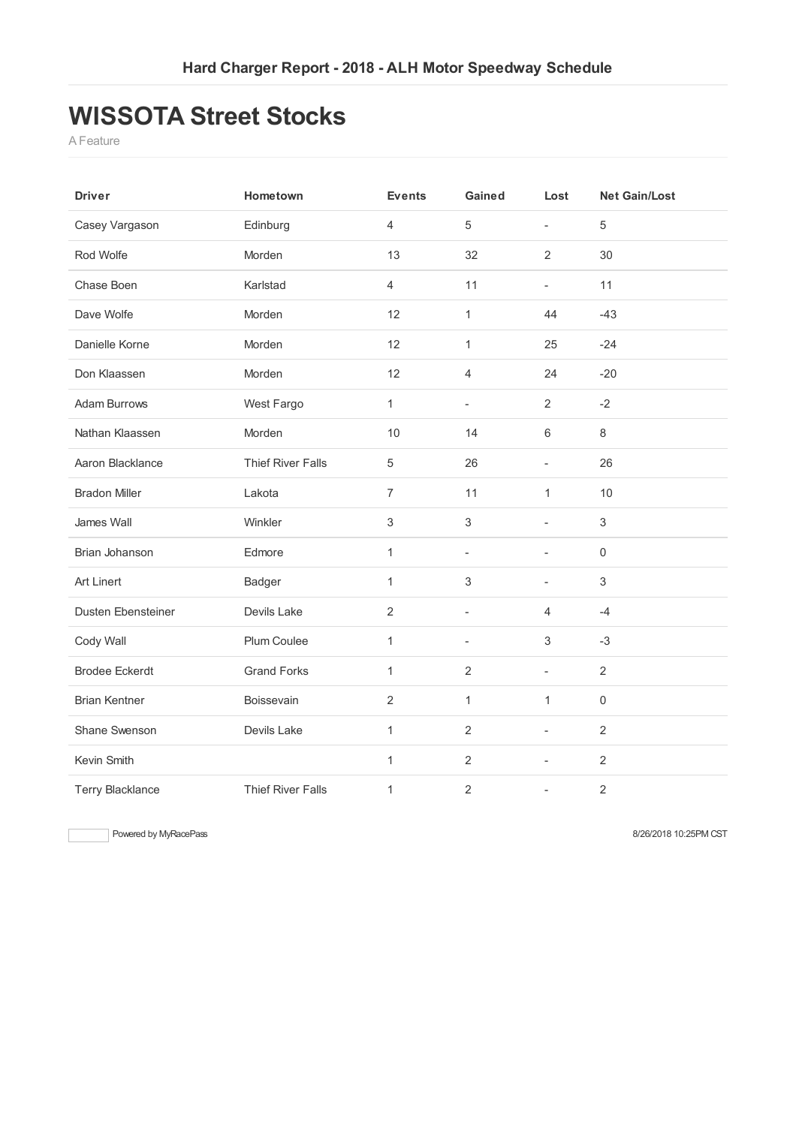### **WISSOTA Street Stocks**

A Feature

| <b>Driver</b>           | Hometown                 | <b>Events</b>  | Gained                   | Lost                     | <b>Net Gain/Lost</b> |
|-------------------------|--------------------------|----------------|--------------------------|--------------------------|----------------------|
| Casey Vargason          | Edinburg                 | 4              | 5                        | $\mathbf{r}$             | 5                    |
| Rod Wolfe               | Morden                   | 13             | 32                       | $\overline{2}$           | 30                   |
| Chase Boen              | Karlstad                 | $\overline{4}$ | 11                       | $\overline{\phantom{a}}$ | 11                   |
| Dave Wolfe              | Morden                   | 12             | $\mathbf{1}$             | 44                       | $-43$                |
| Danielle Korne          | Morden                   | 12             | $\mathbf{1}$             | 25                       | $-24$                |
| Don Klaassen            | Morden                   | 12             | $\overline{4}$           | 24                       | $-20$                |
| <b>Adam Burrows</b>     | West Fargo               | $\mathbf{1}$   | $\blacksquare$           | $\overline{2}$           | $-2$                 |
| Nathan Klaassen         | Morden                   | 10             | 14                       | $6\,$                    | 8                    |
| Aaron Blacklance        | <b>Thief River Falls</b> | 5              | 26                       | ÷.                       | 26                   |
| <b>Bradon Miller</b>    | Lakota                   | $\overline{7}$ | 11                       | $\mathbf{1}$             | 10                   |
| James Wall              | Winkler                  | 3              | $\mathfrak 3$            |                          | 3                    |
| Brian Johanson          | Edmore                   | 1              | $\sim$                   | ÷.                       | $\mathbf 0$          |
| Art Linert              | Badger                   | 1              | $\sqrt{3}$               | $\blacksquare$           | 3                    |
| Dusten Ebensteiner      | Devils Lake              | $\overline{2}$ | $\overline{\phantom{a}}$ | $\overline{4}$           | $-4$                 |
| Cody Wall               | Plum Coulee              | 1              | $\blacksquare$           | $\sqrt{3}$               | $-3$                 |
| <b>Brodee Eckerdt</b>   | <b>Grand Forks</b>       | 1              | $\overline{2}$           |                          | $\overline{2}$       |
| <b>Brian Kentner</b>    | Boissevain               | $\overline{2}$ | $\mathbf{1}$             | $\mathbf{1}$             | $\mathbf 0$          |
| Shane Swenson           | Devils Lake              | $\mathbf{1}$   | $\overline{2}$           | $\overline{\phantom{a}}$ | $\overline{2}$       |
| Kevin Smith             |                          | $\mathbf{1}$   | $\overline{2}$           | $\blacksquare$           | $\overline{2}$       |
| <b>Terry Blacklance</b> | <b>Thief River Falls</b> | 1              | $\overline{2}$           |                          | $\overline{2}$       |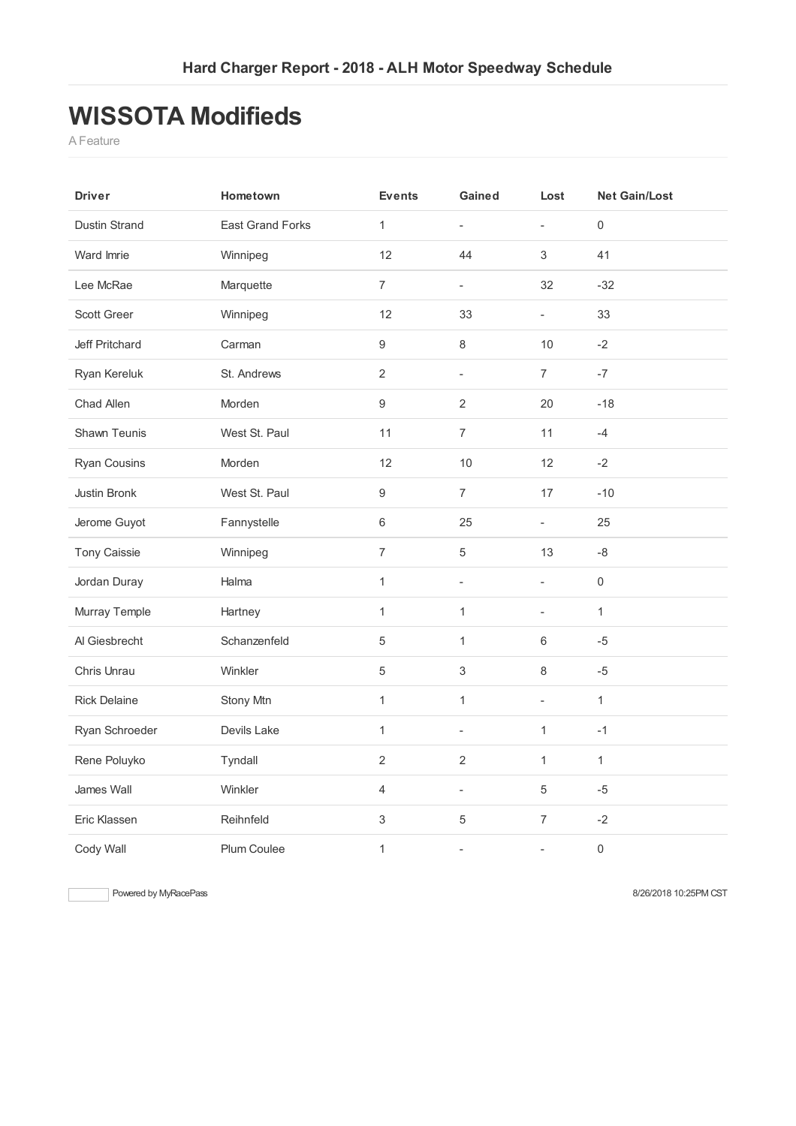#### **WISSOTA Modifieds**

A Feature

| <b>Driver</b>        | Hometown                | <b>Events</b>    | Gained                   | Lost           | <b>Net Gain/Lost</b> |
|----------------------|-------------------------|------------------|--------------------------|----------------|----------------------|
| <b>Dustin Strand</b> | <b>East Grand Forks</b> | $\mathbf{1}$     | $\overline{a}$           | L              | $\mathbf 0$          |
| Ward Imrie           | Winnipeg                | 12               | 44                       | 3              | 41                   |
| Lee McRae            | Marquette               | $\overline{7}$   | $\overline{\phantom{0}}$ | 32             | $-32$                |
| Scott Greer          | Winnipeg                | 12               | 33                       | $\overline{a}$ | 33                   |
| Jeff Pritchard       | Carman                  | $9\,$            | 8                        | 10             | $-2$                 |
| Ryan Kereluk         | St. Andrews             | 2                | L.                       | $\overline{7}$ | $-7$                 |
| Chad Allen           | Morden                  | $\boldsymbol{9}$ | $\overline{2}$           | 20             | $-18$                |
| Shawn Teunis         | West St. Paul           | 11               | $\overline{7}$           | 11             | $-4$                 |
| <b>Ryan Cousins</b>  | Morden                  | 12               | 10                       | 12             | $-2$                 |
| Justin Bronk         | West St. Paul           | $\boldsymbol{9}$ | $\overline{7}$           | 17             | $-10$                |
| Jerome Guyot         | Fannystelle             | $6\,$            | 25                       | $\overline{a}$ | 25                   |
| <b>Tony Caissie</b>  | Winnipeg                | $\overline{7}$   | 5                        | 13             | $\mbox{-}8$          |
| Jordan Duray         | Halma                   | $\mathbf{1}$     | $\overline{\phantom{0}}$ | ÷,             | $\mathbf 0$          |
| Murray Temple        | Hartney                 | $\mathbf{1}$     | $\mathbf{1}$             | L,             | $\mathbf{1}$         |
| Al Giesbrecht        | Schanzenfeld            | 5                | $\mathbf{1}$             | 6              | $-5$                 |
| Chris Unrau          | <b>Winkler</b>          | $\sqrt{5}$       | $\,3$                    | $\,8\,$        | $-5$                 |
| <b>Rick Delaine</b>  | Stony Mtn               | 1                | $\mathbf{1}$             | L.             | $\mathbf{1}$         |
| Ryan Schroeder       | Devils Lake             | $\mathbf{1}$     | ÷,                       | $\mathbf{1}$   | $-1$                 |
| Rene Poluyko         | Tyndall                 | $\overline{2}$   | $\overline{2}$           | $\mathbf{1}$   | $\mathbf{1}$         |
| James Wall           | Winkler                 | $\overline{4}$   | ÷,                       | 5              | $-5$                 |
| Eric Klassen         | Reihnfeld               | 3                | 5                        | $\overline{7}$ | $-2$                 |
| Cody Wall            | <b>Plum Coulee</b>      | $\mathbf{1}$     | ÷,                       |                | $\mathbf 0$          |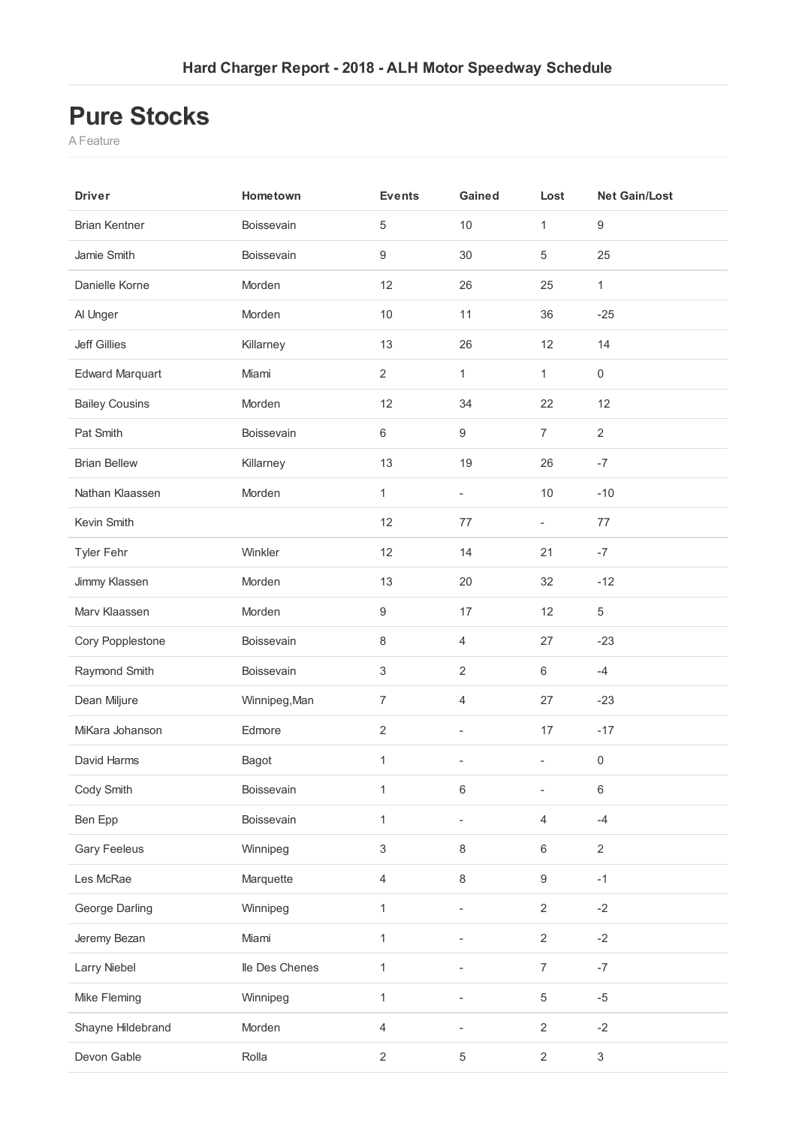#### **Pure Stocks**

A Feature

| <b>Driver</b>          | Hometown       | <b>Events</b>    | Gained           | Lost                     | <b>Net Gain/Lost</b>      |
|------------------------|----------------|------------------|------------------|--------------------------|---------------------------|
| <b>Brian Kentner</b>   | Boissevain     | $\sqrt{5}$       | 10               | 1                        | 9                         |
| Jamie Smith            | Boissevain     | $\boldsymbol{9}$ | 30               | 5                        | 25                        |
| Danielle Korne         | Morden         | 12               | 26               | 25                       | $\mathbf{1}$              |
| Al Unger               | Morden         | 10               | 11               | 36                       | $-25$                     |
| <b>Jeff Gillies</b>    | Killarney      | 13               | 26               | 12                       | 14                        |
| <b>Edward Marquart</b> | Miami          | $\overline{2}$   | $\mathbf{1}$     | $\mathbf{1}$             | 0                         |
| <b>Bailey Cousins</b>  | Morden         | 12               | 34               | 22                       | 12                        |
| Pat Smith              | Boissevain     | 6                | $\boldsymbol{9}$ | $\overline{7}$           | $\sqrt{2}$                |
| <b>Brian Bellew</b>    | Killarney      | 13               | 19               | 26                       | $-7$                      |
| Nathan Klaassen        | Morden         | $\mathbf{1}$     | ÷,               | 10                       | $-10$                     |
| Kevin Smith            |                | 12               | 77               | $\overline{\phantom{0}}$ | 77                        |
| Tyler Fehr             | Winkler        | 12               | 14               | 21                       | $-7$                      |
| Jimmy Klassen          | Morden         | 13               | 20               | 32                       | $-12$                     |
| Marv Klaassen          | Morden         | $\boldsymbol{9}$ | 17               | 12                       | $\,$ 5 $\,$               |
| Cory Popplestone       | Boissevain     | 8                | $\overline{4}$   | 27                       | $-23$                     |
| Raymond Smith          | Boissevain     | $\sqrt{3}$       | $\overline{2}$   | 6                        | $-4$                      |
| Dean Miljure           | Winnipeg, Man  | $\overline{7}$   | 4                | 27                       | $-23$                     |
| MiKara Johanson        | Edmore         | $\overline{2}$   | ÷,               | 17                       | $-17$                     |
| David Harms            | Bagot          | $\mathbf{1}$     | ÷,               | $\overline{\phantom{a}}$ | $\mathbf 0$               |
| Cody Smith             | Boissevain     | $\mathbf{1}$     | $\,$ 6 $\,$      |                          | $\,6\,$                   |
| Ben Epp                | Boissevain     | 1                | ÷,               | $\overline{4}$           | $-4$                      |
| <b>Gary Feeleus</b>    | Winnipeg       | $\sqrt{3}$       | 8                | 6                        | $\sqrt{2}$                |
| Les McRae              | Marquette      | $\overline{4}$   | $\,8\,$          | 9                        | $-1$                      |
| George Darling         | Winnipeg       | $\mathbf{1}$     |                  | $\overline{2}$           | $-2$                      |
| Jeremy Bezan           | Miami          | $\mathbf{1}$     |                  | $\overline{c}$           | $-2$                      |
| Larry Niebel           | lle Des Chenes | $\mathbf{1}$     |                  | $\overline{7}$           | $\textnormal{-}7$         |
| Mike Fleming           | Winnipeg       | $\mathbf{1}$     | ÷,               | 5                        | $-5$                      |
| Shayne Hildebrand      | Morden         | 4                | ٠                | $\overline{2}$           | $-2$                      |
| Devon Gable            | Rolla          | $\sqrt{2}$       | $\,$ 5 $\,$      | $\overline{2}$           | $\ensuremath{\mathsf{3}}$ |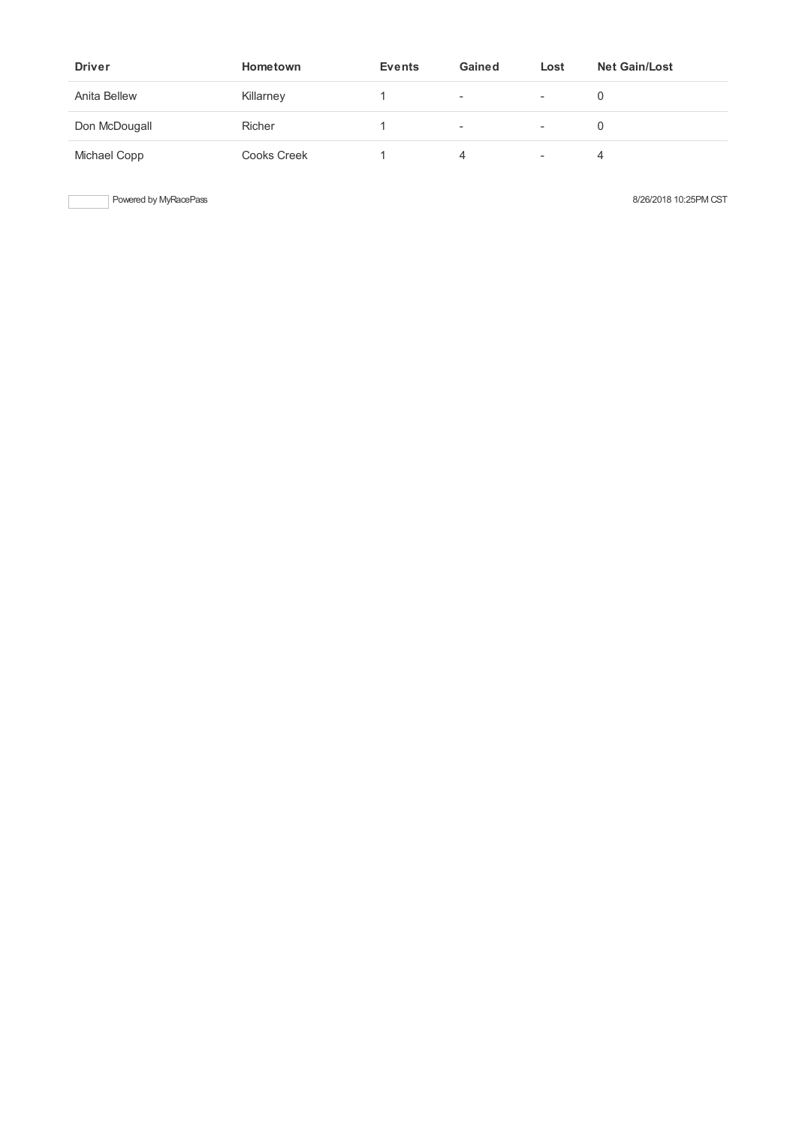| <b>Driver</b> | Hometown      | <b>Events</b> | Gained                   | Lost                     | <b>Net Gain/Lost</b> |
|---------------|---------------|---------------|--------------------------|--------------------------|----------------------|
| Anita Bellew  | Killarney     |               | $\sim$                   | $\overline{\phantom{a}}$ |                      |
| Don McDougall | <b>Richer</b> |               | $\overline{\phantom{a}}$ | $\overline{\phantom{a}}$ |                      |
| Michael Copp  | Cooks Creek   |               | 4                        | $\overline{\phantom{a}}$ | 4                    |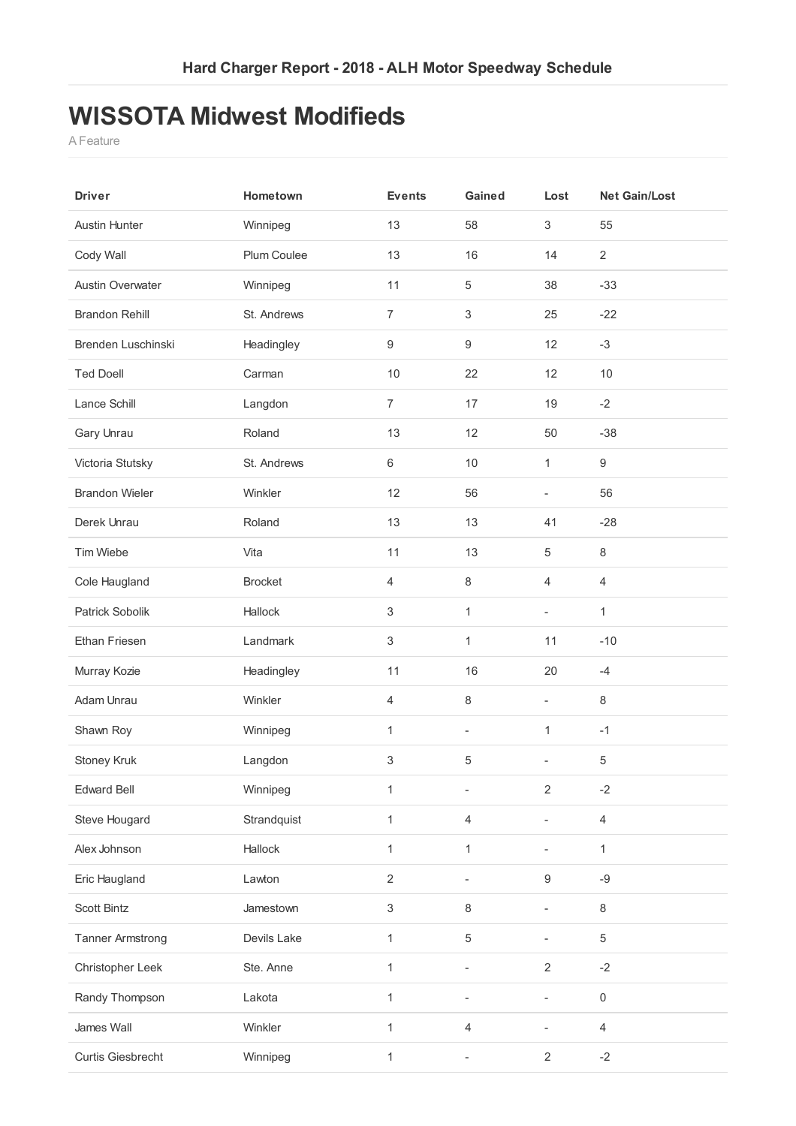#### **WISSOTA Midwest Modifieds**

A Feature

| <b>Driver</b>           | Hometown       | <b>Events</b>    | Gained                   | Lost                     | <b>Net Gain/Lost</b> |
|-------------------------|----------------|------------------|--------------------------|--------------------------|----------------------|
| <b>Austin Hunter</b>    | Winnipeg       | 13               | 58                       | $\sqrt{3}$               | 55                   |
| Cody Wall               | Plum Coulee    | 13               | 16                       | 14                       | $\overline{2}$       |
| <b>Austin Overwater</b> | Winnipeg       | 11               | $\sqrt{5}$               | 38                       | $-33$                |
| <b>Brandon Rehill</b>   | St. Andrews    | $\overline{7}$   | $\,$ 3 $\,$              | 25                       | $-22$                |
| Brenden Luschinski      | Headingley     | $\boldsymbol{9}$ | $\boldsymbol{9}$         | 12                       | $-3$                 |
| <b>Ted Doell</b>        | Carman         | $10$             | 22                       | 12                       | 10                   |
| Lance Schill            | Langdon        | $\overline{7}$   | 17                       | 19                       | $-2$                 |
| Gary Unrau              | Roland         | 13               | 12                       | 50                       | $-38$                |
| Victoria Stutsky        | St. Andrews    | $6\,$            | 10                       | 1                        | $\hbox{9}$           |
| <b>Brandon Wieler</b>   | Winkler        | 12               | 56                       | $\blacksquare$           | 56                   |
| Derek Unrau             | Roland         | 13               | 13                       | 41                       | $-28$                |
| Tim Wiebe               | Vita           | 11               | 13                       | 5                        | 8                    |
| Cole Haugland           | <b>Brocket</b> | $\overline{4}$   | $\,8\,$                  | $\overline{4}$           | 4                    |
| Patrick Sobolik         | Hallock        | 3                | 1                        | $\overline{\phantom{a}}$ | $\mathbf{1}$         |
| Ethan Friesen           | Landmark       | $\,3$            | 1                        | 11                       | $-10$                |
| Murray Kozie            | Headingley     | 11               | 16                       | 20                       | $-4$                 |
| Adam Unrau              | Winkler        | 4                | 8                        | $\overline{\phantom{a}}$ | 8                    |
| Shawn Roy               | Winnipeg       | $\mathbf{1}$     | $\blacksquare$           | 1                        | $-1$                 |
| Stoney Kruk             | Langdon        | $\,3$            | $\sqrt{5}$               | $\overline{\phantom{a}}$ | 5                    |
| <b>Edward Bell</b>      | Winnipeg       | 1                |                          | $\overline{2}$           | $-2$                 |
| Steve Hougard           | Strandquist    | $\mathbf{1}$     | $\overline{4}$           |                          | $\overline{4}$       |
| Alex Johnson            | Hallock        | $\mathbf{1}$     | $\mathbf{1}$             |                          | $\mathbf{1}$         |
| Eric Haugland           | Lawton         | $\overline{c}$   | $\overline{\phantom{0}}$ | $\boldsymbol{9}$         | $-9$                 |
| Scott Bintz             | Jamestown      | $\,3$            | 8                        | ä,                       | 8                    |
| <b>Tanner Armstrong</b> | Devils Lake    | 1                | $\,$ 5 $\,$              |                          | 5                    |
| Christopher Leek        | Ste. Anne      | $\mathbf{1}$     | $\overline{\phantom{a}}$ | $\overline{2}$           | $-2$                 |
| Randy Thompson          | Lakota         | $\mathbf{1}$     | $\overline{\phantom{0}}$ | $\overline{\phantom{a}}$ | $\boldsymbol{0}$     |
| James Wall              | Winkler        | $\mathbf{1}$     | $\overline{4}$           |                          | $\overline{4}$       |
| Curtis Giesbrecht       | Winnipeg       | $\mathbf{1}$     | $\frac{1}{2}$            | $\sqrt{2}$               | $-2$                 |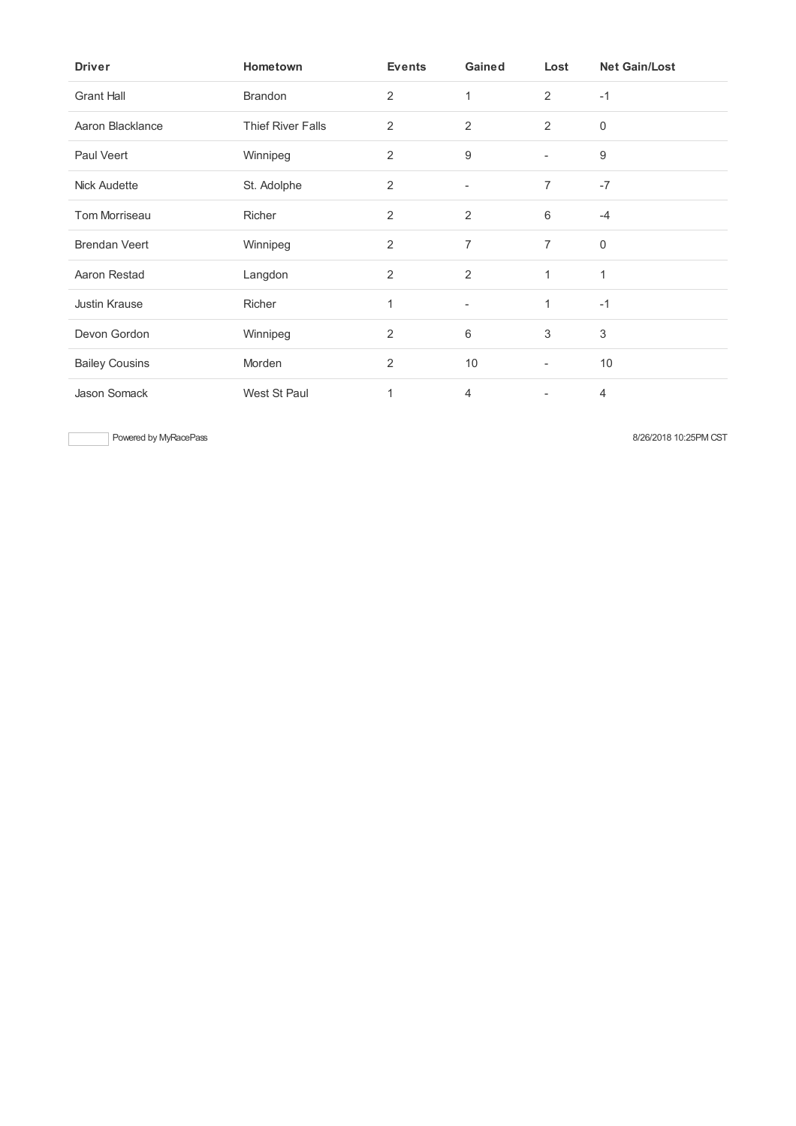| <b>Driver</b>         | Hometown                 | <b>Events</b>  | Gained         | Lost                     | <b>Net Gain/Lost</b> |
|-----------------------|--------------------------|----------------|----------------|--------------------------|----------------------|
| <b>Grant Hall</b>     | <b>Brandon</b>           | 2              | 1              | 2                        | $-1$                 |
| Aaron Blacklance      | <b>Thief River Falls</b> | $\overline{2}$ | $\overline{2}$ | $\overline{2}$           | $\mathbf 0$          |
| Paul Veert            | Winnipeg                 | 2              | 9              | $\frac{1}{2}$            | 9                    |
| <b>Nick Audette</b>   | St. Adolphe              | $\overline{2}$ | $\overline{a}$ | $\overline{7}$           | $-7$                 |
| Tom Morriseau         | Richer                   | $\overline{2}$ | $\overline{2}$ | 6                        | $-4$                 |
| <b>Brendan Veert</b>  | Winnipeg                 | $\overline{2}$ | $\overline{7}$ | $\overline{7}$           | $\mathbf 0$          |
| Aaron Restad          | Langdon                  | 2              | 2              | 1                        | $\mathbf{1}$         |
| <b>Justin Krause</b>  | Richer                   | 1              | ÷,             | 1                        | $-1$                 |
| Devon Gordon          | Winnipeg                 | $\overline{2}$ | 6              | 3                        | 3                    |
| <b>Bailey Cousins</b> | Morden                   | $\overline{2}$ | 10             | $\overline{\phantom{a}}$ | 10                   |
| Jason Somack          | West St Paul             | 1              | 4              | -                        | $\overline{4}$       |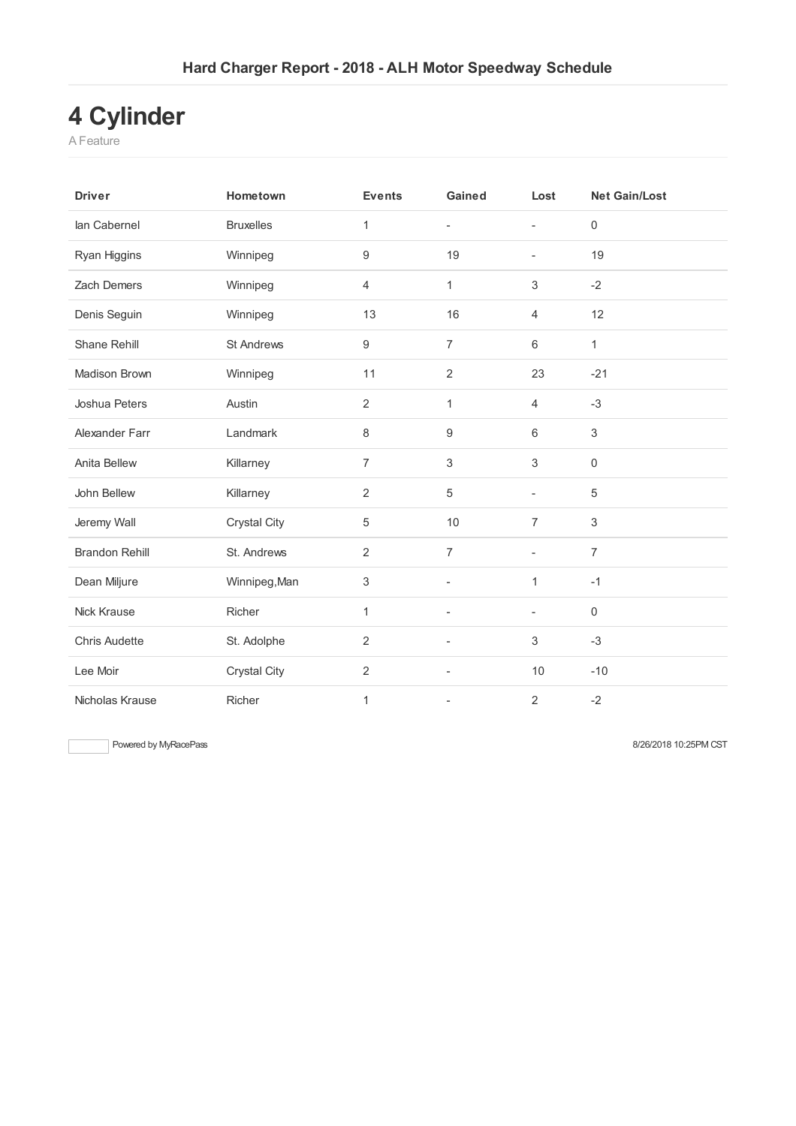# **4 Cylinder**

A Feature

| <b>Driver</b>         | Hometown            | <b>Events</b>    | Gained                       | Lost                     | <b>Net Gain/Lost</b> |
|-----------------------|---------------------|------------------|------------------------------|--------------------------|----------------------|
| lan Cabernel          | <b>Bruxelles</b>    | 1                | $\overline{\phantom{a}}$     | $\overline{a}$           | $\mathbf 0$          |
| Ryan Higgins          | Winnipeg            | $\boldsymbol{9}$ | 19                           | $\overline{\phantom{a}}$ | 19                   |
| Zach Demers           | Winnipeg            | $\overline{4}$   | 1                            | 3                        | $-2$                 |
| Denis Seguin          | Winnipeg            | 13               | 16                           | $\overline{4}$           | 12                   |
| Shane Rehill          | <b>St Andrews</b>   | $\boldsymbol{9}$ | $\overline{7}$               | 6                        | 1                    |
| Madison Brown         | Winnipeg            | 11               | $\overline{2}$               | 23                       | $-21$                |
| Joshua Peters         | Austin              | $\overline{2}$   | 1                            | 4                        | $-3$                 |
| Alexander Farr        | Landmark            | 8                | $\boldsymbol{9}$             | 6                        | 3                    |
| Anita Bellew          | Killarney           | $\overline{7}$   | $\sqrt{3}$                   | $\sqrt{3}$               | $\mathbf 0$          |
| John Bellew           | Killarney           | $\overline{2}$   | 5                            | $\overline{\phantom{a}}$ | 5                    |
| Jeremy Wall           | <b>Crystal City</b> | 5                | 10                           | $\overline{7}$           | 3                    |
| <b>Brandon Rehill</b> | St. Andrews         | $\overline{2}$   | $\overline{7}$               | L,                       | $\overline{7}$       |
| Dean Miljure          | Winnipeg, Man       | 3                |                              | 1                        | $-1$                 |
| Nick Krause           | Richer              | 1                |                              |                          | $\boldsymbol{0}$     |
| <b>Chris Audette</b>  | St. Adolphe         | $\overline{2}$   |                              | 3                        | $-3$                 |
| Lee Moir              | <b>Crystal City</b> | $\sqrt{2}$       | ÷,                           | 10                       | $-10$                |
| Nicholas Krause       | Richer              | 1                | $\qquad \qquad \blacksquare$ | 2                        | $-2$                 |